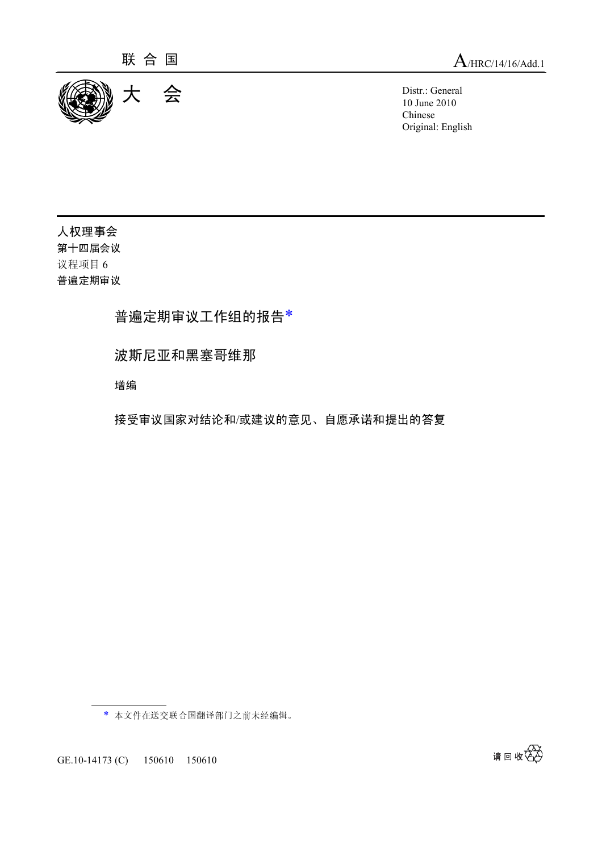

10 June 2010 Chinese Original: English

人权理事会 第十四届会议 议程项目 <sup>6</sup> 普遍定期审议

普遍定期审议工作组的报告\*

波斯尼亚和黑塞哥维那

增编

接受审议国家对结论和/或建议的意见、自愿承诺和提出的答复

\* 本文件在送交联合国翻译部门之前未经编辑。

GE.10-14173 (C) 150610 150610

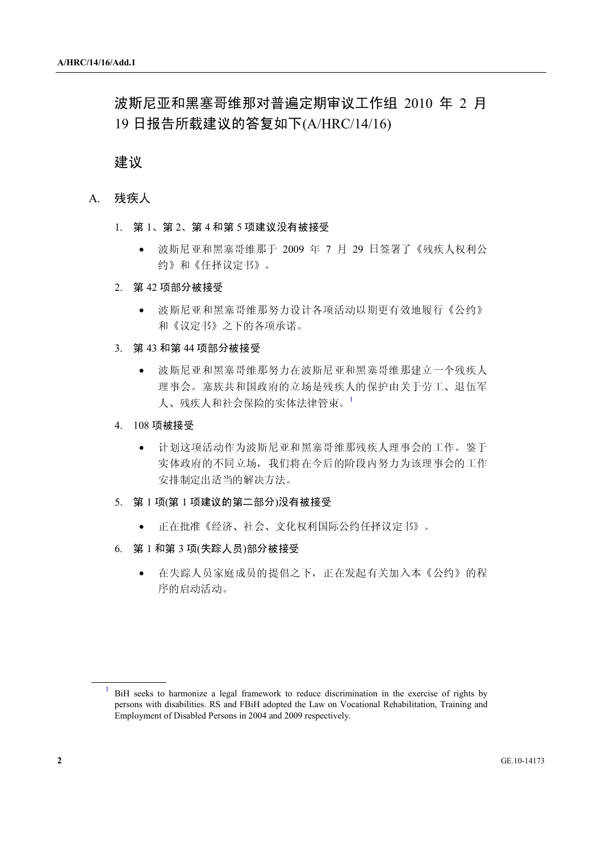# 波斯尼亚和黑塞哥维那对普遍定期审议工作组 2010 年 2 月 19 日报告所载建议的答复如下(A/HRC/14/16)

### 建议

### A. 残疾人

- 1. <sup>第</sup> <sup>1</sup>、第 <sup>2</sup>、第 <sup>4</sup> 和第 <sup>5</sup> 项建议没有被接受
	- 波斯尼亚和黑塞哥维那于 2009 年 7 月 29 日签署了《残疾人权利公 约》和《任择议定书》。
- 2. <sup>第</sup> <sup>42</sup> 项部分被接受
	- 波斯尼亚和黑塞哥维那努力设计各项活动以期更有效地履行《公约》 和《议定书》之下的各项承诺。
- 3. <sup>第</sup> <sup>43</sup> 和第 <sup>44</sup> 项部分被接受
	- 波斯尼亚和黑塞哥维那努力在波斯尼亚和黑塞哥维那建立一个残疾人 理事会。塞族共和国政府的立场是残疾人的保护由关于劳工、退伍军 人、残疾人和社会保险的实体法律管束。<sup>1</sup>
- 4. 108 项被接受
	- 计划这项活动作为波斯尼亚和黑塞哥维那残疾人理事会的工作。鉴于 实体政府的不同立场,我们将在今后的阶段内努力为该理事会的工作 安排制定出适当的解决方法。
- 5. <sup>第</sup> <sup>1</sup> <sup>项</sup>(<sup>第</sup> <sup>1</sup> 项建议的第二部分)没有被接受
	- 正在批准《经济、社会、文化权利国际公约任择议定书》。
- 6. <sup>第</sup> <sup>1</sup> 和第 <sup>3</sup> <sup>项</sup>(失踪人员)部分被接受
	- 在失踪人员家庭成员的提倡之下,正在发起有关加入本《公约》的程 序的启动活动。

<sup>1</sup> BiH seeks to harmonize a legal framework to reduce discrimination in the exercise of rights by persons with disabilities. RS and FBiH adopted the Law on Vocational Rehabilitation, Training and Employment of Disabled Persons in 2004 and 2009 respectively.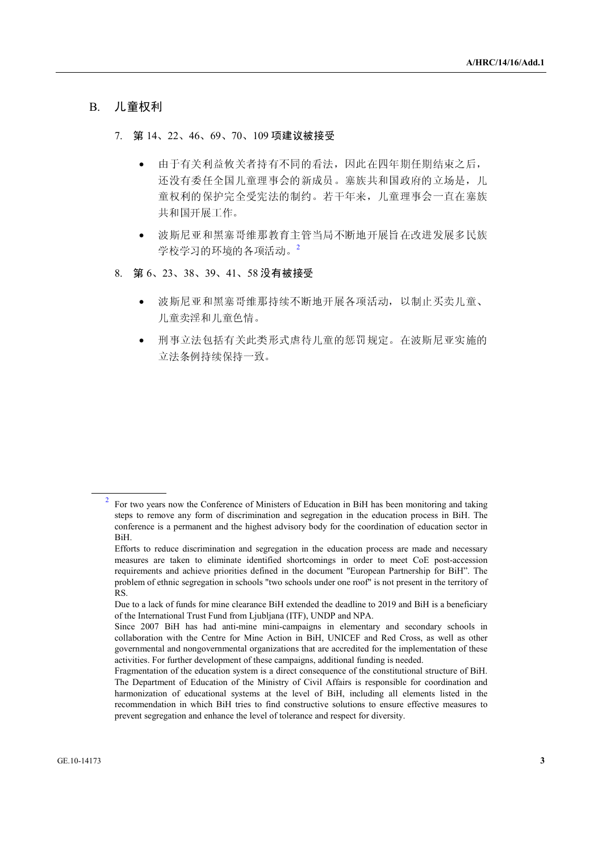### B. 儿童权利

#### 7. <sup>第</sup> <sup>14</sup>、22、46、69、70、<sup>109</sup> 项建议被接受

- 由于有关利益攸关者持有不同的看法,因此在四年期任期结束之后, 还没有委任全国儿童理事会的新成员。塞族共和国政府的立场是,儿 童权利的保护完全受宪法的制约。若干年来,儿童理事会一直在塞族 共和国开展工作。
- 波斯尼亚和黑塞哥维那教育主管当局不断地开展旨在改进发展多民族 学校学习的环境的各项活动。<sup>2</sup>
- 8. <sup>第</sup> <sup>6</sup>、23、38、39、41、<sup>58</sup> 没有被接受
	- 波斯尼亚和黑塞哥维那持续不断地开展各项活动,以制止买卖儿童、 儿童卖淫和儿童色情。
	- 刑事立法包括有关此类形式虐待儿童的惩罚规定。在波斯尼亚实施的 立法条例持续保持一致。

<sup>2</sup> For two years now the Conference of Ministers of Education in BiH has been monitoring and taking steps to remove any form of discrimination and segregation in the education process in BiH. The conference is a permanent and the highest advisory body for the coordination of education sector in BiH.

Efforts to reduce discrimination and segregation in the education process are made and necessary measures are taken to eliminate identified shortcomings in order to meet CoE post-accession requirements and achieve priorities defined in the document "European Partnership for BiH". The problem of ethnic segregation in schools "two schools under one roof" is not present in the territory of RS.

Due to a lack of funds for mine clearance BiH extended the deadline to 2019 and BiH is a beneficiary of the International Trust Fund from Ljubljana (ITF), UNDP and NPA.

Since 2007 BiH has had anti-mine mini-campaigns in elementary and secondary schools in collaboration with the Centre for Mine Action in BiH, UNICEF and Red Cross, as well as other governmental and nongovernmental organizations that are accredited for the implementation of these activities. For further development of these campaigns, additional funding is needed.

Fragmentation of the education system is a direct consequence of the constitutional structure of BiH. The Department of Education of the Ministry of Civil Affairs is responsible for coordination and harmonization of educational systems at the level of BiH, including all elements listed in the recommendation in which BiH tries to find constructive solutions to ensure effective measures to prevent segregation and enhance the level of tolerance and respect for diversity.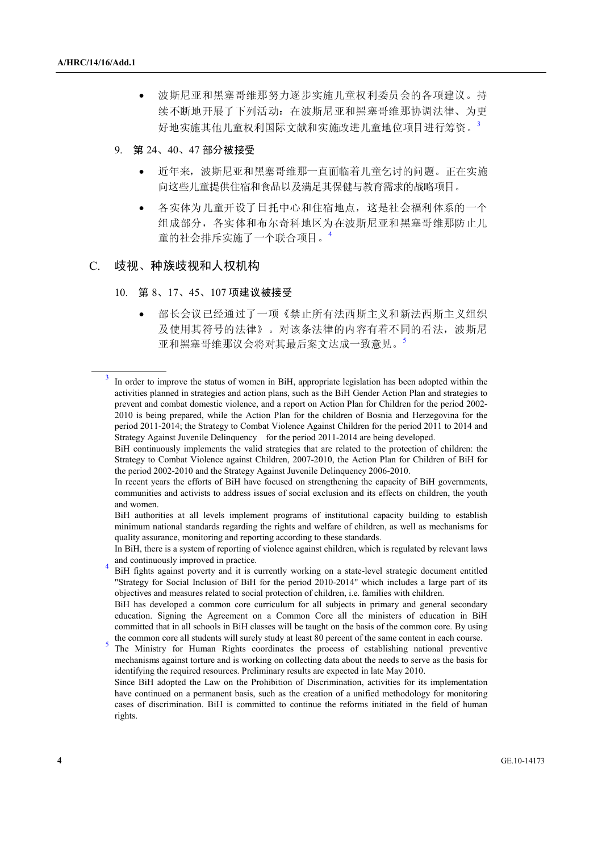- 波斯尼亚和黑塞哥维那努力逐步实施儿童权利委员会的各项建议。持 续不断地开展了下列活动: 在波斯尼亚和黑塞哥维那协调法律、为更 好地实施其他儿童权利国际文献和实施改进儿童地位项目进行筹资。<sup>3</sup>
- 9. <sup>第</sup> <sup>24</sup>、40、<sup>47</sup> 部分被接受
	- 近年来,波斯尼亚和黑塞哥维那一直面临着儿童乞讨的问题。正在实施 向这些儿童提供住宿和食品以及满足其保健与教育需求的战略项目。
	- 各实体为儿童开设了日托中心和住宿地点,这是社会福利体系的一个 组成部分,各实体和布尔奇科地区为在波斯尼亚和黑塞哥维那防止儿 童的社会排斥实施了一个联合项目。<sup>4</sup>

### C. 歧视、种族歧视和人权机构

- 10. <sup>第</sup> <sup>8</sup>、17、45、<sup>107</sup> 项建议被接受
	- 部长会议已经通过了一项《禁止所有法西斯主义和新法西斯主义组织 及使用其符号的法律》。对该条法律的内容有着不同的看法,波斯尼 亚和黑塞哥维那议会将对其最后案文达成一致意见。<sup>5</sup>

<sup>3</sup> In order to improve the status of women in BiH, appropriate legislation has been adopted within the activities planned in strategies and action plans, such as the BiH Gender Action Plan and strategies to prevent and combat domestic violence, and a report on Action Plan for Children for the period 2002- 2010 is being prepared, while the Action Plan for the children of Bosnia and Herzegovina for the period 2011-2014; the Strategy to Combat Violence Against Children for the period 2011 to 2014 and Strategy Against Juvenile Delinquency for the period 2011-2014 are being developed.

BiH continuously implements the valid strategies that are related to the protection of children: the Strategy to Combat Violence against Children, 2007-2010, the Action Plan for Children of BiH for the period 2002-2010 and the Strategy Against Juvenile Delinquency 2006-2010.

In recent years the efforts of BiH have focused on strengthening the capacity of BiH governments, communities and activists to address issues of social exclusion and its effects on children, the youth and women.

BiH authorities at all levels implement programs of institutional capacity building to establish minimum national standards regarding the rights and welfare of children, as well as mechanisms for quality assurance, monitoring and reporting according to these standards.

In BiH, there is a system of reporting of violence against children, which is regulated by relevant laws and continuously improved in practice. 4

BiH fights against poverty and it is currently working on a state-level strategic document entitled "Strategy for Social Inclusion of BiH for the period 2010-2014" which includes a large part of its objectives and measures related to social protection of children, i.e. families with children.

BiH has developed a common core curriculum for all subjects in primary and general secondary education. Signing the Agreement on a Common Core all the ministers of education in BiH committed that in all schools in BiH classes will be taught on the basis of the common core. By using the common core all students will surely study at least 80 percent of the same content in each course.

The Ministry for Human Rights coordinates the process of establishing national preventive mechanisms against torture and is working on collecting data about the needs to serve as the basis for identifying the required resources. Preliminary results are expected in late May 2010.

Since BiH adopted the Law on the Prohibition of Discrimination, activities for its implementation have continued on a permanent basis, such as the creation of a unified methodology for monitoring cases of discrimination. BiH is committed to continue the reforms initiated in the field of human rights.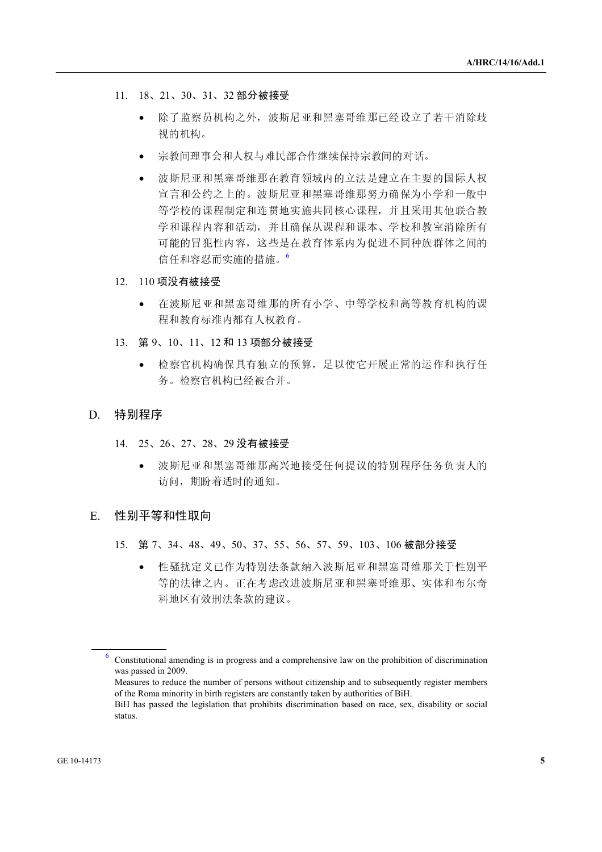- 11. 18、21、30、31、<sup>32</sup> 部分被接受
	- 除了监察员机构之外,波斯尼亚和黑塞哥维那已经设立了若干消除歧 视的机构。
	- 宗教间理事会和人权与难民部合作继续保持宗教间的对话。
	- 波斯尼亚和黑塞哥维那在教育领域内的立法是建立在主要的国际人权 宣言和公约之上的。波斯尼亚和黑塞哥维那努力确保为小学和一般中 等学校的课程制定和连贯地实施共同核心课程,并且采用其他联合教 学和课程内容和活动,并且确保从课程和课本、学校和教室消除所有 可能的冒犯性内容,这些是在教育体系内为促进不同种族群体之间的 信任和容忍而实施的措施。<sup>6</sup>
- 12. 110 项没有被接受
	- 在波斯尼亚和黑塞哥维那的所有小学、中等学校和高等教育机构的课 程和教育标准内都有人权教育。
- 13. <sup>第</sup> <sup>9</sup>、10、11、<sup>12</sup> <sup>和</sup> <sup>13</sup> 项部分被接受
	- 检察官机构确保具有独立的预算,足以使它开展正常的运作和执行任 务。检察官机构已经被合并。
- D. 特别程序
	- 14. 25、26、27、28、<sup>29</sup> 没有被接受
		- 波斯尼亚和黑塞哥维那高兴地接受任何提议的特别程序任务负责人的 访问, 期盼着适时的通知。
- E. 性别平等和性取向
	- 15. <sup>第</sup> <sup>7</sup>、34、48、49、50、37、55、56、57、59、103、<sup>106</sup> 被部分接受
		- 性骚扰定义已作为特别法条款纳入波斯尼亚和黑塞哥维那关于性别平 等的法律之内。正在考虑改进波斯尼亚和黑塞哥维那、实体和布尔奇 科地区有效刑法条款的建议。

<sup>6</sup> Constitutional amending is in progress and a comprehensive law on the prohibition of discrimination was passed in 2009.

Measures to reduce the number of persons without citizenship and to subsequently register members of the Roma minority in birth registers are constantly taken by authorities of BiH.

BiH has passed the legislation that prohibits discrimination based on race, sex, disability or social status.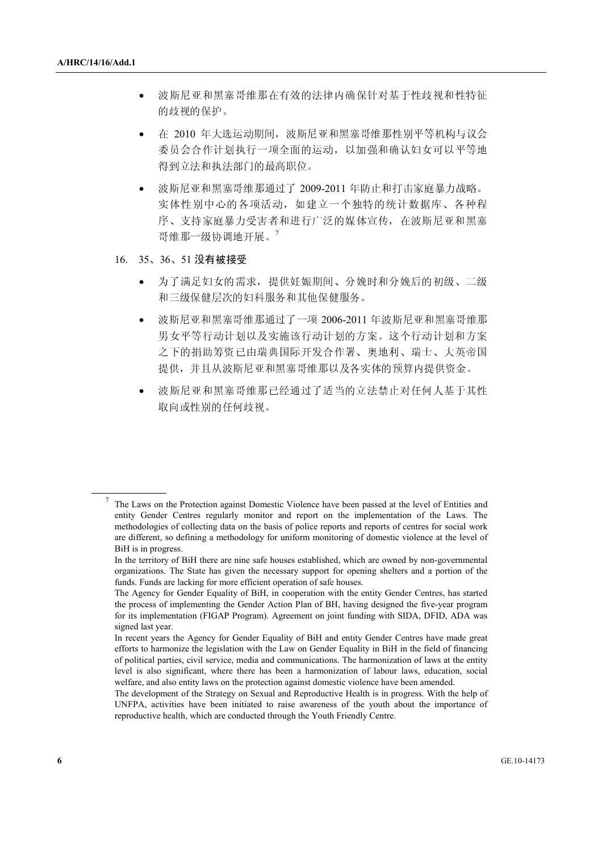7

- 波斯尼亚和黑塞哥维那在有效的法律内确保针对基于性歧视和性特征 的歧视的保护。
- 在 2010 年大选运动期间,波斯尼亚和黑塞哥维那性别平等机构与议会 委员会合作计划执行一项全面的运动,以加强和确认妇女可以平等地 得到立法和执法部门的最高职位。
- 波斯尼亚和黑塞哥维那通过了 2009-2011 年防止和打击家庭暴力战略。 实体性别中心的各项活动,如建立一个独特的统计数据库、各种程 序、支持家庭暴力受害者和进行广泛的媒体宣传,在波斯尼亚和黑塞 哥维那一级协调地开展。<sup>7</sup>
- 16. 35、36、<sup>51</sup> 没有被接受
	- 为了满足妇女的需求,提供妊娠期间、分娩时和分娩后的初级、二级 和三级保健层次的妇科服务和其他保健服务。
	- 波斯尼亚和黑塞哥维那通过了一项 2006-2011 年波斯尼亚和黑塞哥维那 男女平等行动计划以及实施该行动计划的方案。这个行动计划和方案 之下的捐助筹资已由瑞典国际开发合作署、奥地利、瑞士、大英帝国 提供,并且从波斯尼亚和黑塞哥维那以及各实体的预算内提供资金。
	- 波斯尼亚和黑塞哥维那已经通过了适当的立法禁止对任何人基于其性 取向或性别的任何歧视。

The Laws on the Protection against Domestic Violence have been passed at the level of Entities and entity Gender Centres regularly monitor and report on the implementation of the Laws. The methodologies of collecting data on the basis of police reports and reports of centres for social work are different, so defining a methodology for uniform monitoring of domestic violence at the level of BiH is in progress.

In the territory of BiH there are nine safe houses established, which are owned by non-governmental organizations. The State has given the necessary support for opening shelters and a portion of the funds. Funds are lacking for more efficient operation of safe houses.

The Agency for Gender Equality of BiH, in cooperation with the entity Gender Centres, has started the process of implementing the Gender Action Plan of BH, having designed the five-year program for its implementation (FIGAP Program). Agreement on joint funding with SIDA, DFID, ADA was signed last year.

In recent years the Agency for Gender Equality of BiH and entity Gender Centres have made great efforts to harmonize the legislation with the Law on Gender Equality in BiH in the field of financing of political parties, civil service, media and communications. The harmonization of laws at the entity level is also significant, where there has been a harmonization of labour laws, education, social welfare, and also entity laws on the protection against domestic violence have been amended.

The development of the Strategy on Sexual and Reproductive Health is in progress. With the help of UNFPA, activities have been initiated to raise awareness of the youth about the importance of reproductive health, which are conducted through the Youth Friendly Centre.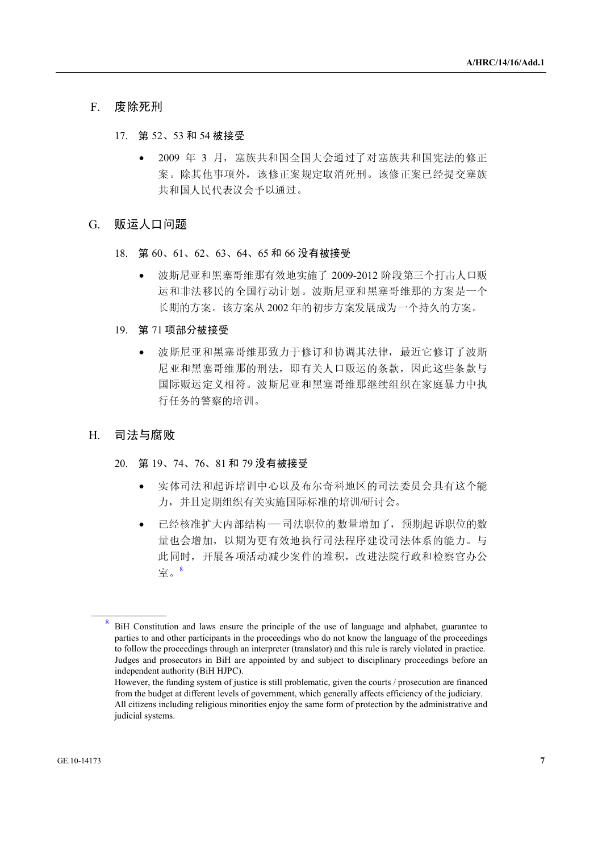### F. 废除死刑

- 17. <sup>第</sup> <sup>52</sup>、<sup>53</sup> <sup>和</sup> <sup>54</sup> 被接受
	- 2009 年 3 月, 塞族共和国全国大会通过了对塞族共和国宪法的修正 案。除其他事项外,该修正案规定取消死刑。该修正案已经提交塞族 共和国人民代表议会予以通过。

#### G. 贩运人口问题

- 18. <sup>第</sup> <sup>60</sup>、61、62、63、64、<sup>65</sup> <sup>和</sup> <sup>66</sup> 没有被接受
	- 波斯尼亚和黑塞哥维那有效地实施了 2009-2012 阶段第三个打击人口贩 运和非法移民的全国行动计划。波斯尼亚和黑塞哥维那的方案是一个 长期的方案。该方案从 2002 年的初步方案发展成为一个持久的方案。
- 19. <sup>第</sup> <sup>71</sup> 项部分被接受
	- 波斯尼亚和黑塞哥维那致力于修订和协调其法律,最近它修订了波斯 尼亚和黑塞哥维那的刑法,即有关人口贩运的条款,因此这些条款与 国际贩运定义相符。波斯尼亚和黑塞哥维那继续组织在家庭暴力中执 行任务的警察的培训。
- H. 司法与腐败
	- 20. <sup>第</sup> <sup>19</sup>、74、76、<sup>81</sup> <sup>和</sup> <sup>79</sup> 没有被接受
		- 实体司法和起诉培训中心以及布尔奇科地区的司法委员会具有这个能 力,并且定期组织有关实施国际标准的培训/研讨会。
		- 已经核准扩大内部结构――司法职位的数量增加了,预期起诉职位的数 量也会增加,以期为更有效地执行司法程序建设司法体系的能力。与 此同时,开展各项活动减少案件的堆积,改进法院行政和检察官办公 室。<sup>8</sup>

<sup>8</sup> BiH Constitution and laws ensure the principle of the use of language and alphabet, guarantee to parties to and other participants in the proceedings who do not know the language of the proceedings to follow the proceedings through an interpreter (translator) and this rule is rarely violated in practice. Judges and prosecutors in BiH are appointed by and subject to disciplinary proceedings before an independent authority (BiH HJPC).

However, the funding system of justice is still problematic, given the courts / prosecution are financed from the budget at different levels of government, which generally affects efficiency of the judiciary. All citizens including religious minorities enjoy the same form of protection by the administrative and judicial systems.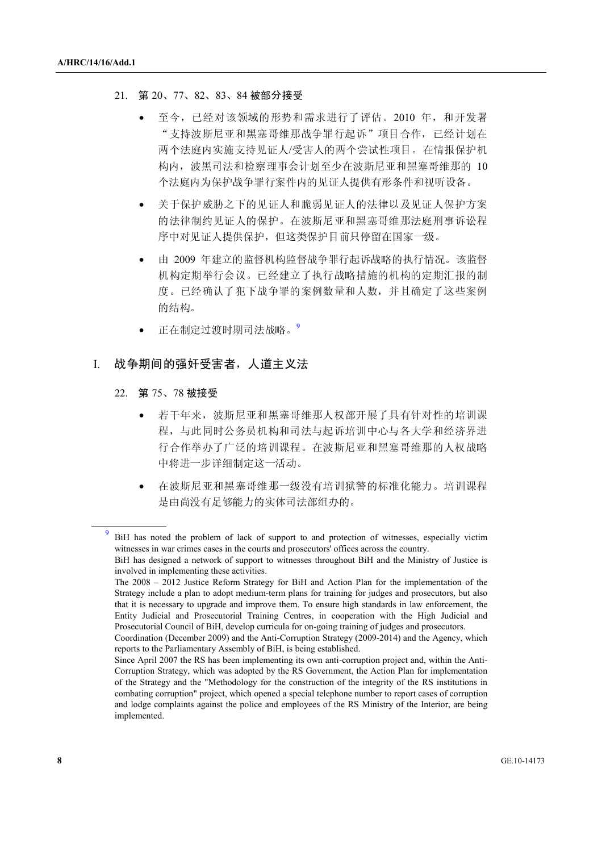#### 21. <sup>第</sup> <sup>20</sup>、77、82、83、<sup>84</sup> 被部分接受

- 至今,已经对该领域的形势和需求进行了评估。2010年,和开发署 "支持波斯尼亚和黑塞哥维那战争罪行起诉"项目合作,已经计划在 两个法庭内实施支持见证人/受害人的两个尝试性项目。在情报保护机 构内,波黑司法和检察理事会计划至少在波斯尼亚和黑塞哥维那的 10 个法庭内为保护战争罪行案件内的见证人提供有形条件和视听设备。
- 关于保护威胁之下的见证人和脆弱见证人的法律以及见证人保护方案 的法律制约见证人的保护。在波斯尼亚和黑塞哥维那法庭刑事诉讼程 序中对见证人提供保护,但这类保护目前只停留在国家一级。
- 由 2009 年建立的监督机构监督战争罪行起诉战略的执行情况。该监督 机构定期举行会议。已经建立了执行战略措施的机构的定期汇报的制 度。已经确认了犯下战争罪的案例数量和人数,并且确定了这些案例 的结构。
- 正在制定过渡时期司法战略。9

### I. 战争期间的强奸受害者,人道主义法

- 22. <sup>第</sup> <sup>75</sup>、<sup>78</sup> 被接受
	- 若干年来,波斯尼亚和黑塞哥维那人权部开展了具有针对性的培训课 程,与此同时公务员机构和司法与起诉培训中心与各大学和经济界进 行合作举办了广泛的培训课程。在波斯尼亚和黑塞哥维那的人权战略 中将进一步详细制定这一活动。
	- 在波斯尼亚和黑塞哥维那一级没有培训狱警的标准化能力。培训课程 是由尚没有足够能力的实体司法部组办的。

<sup>9</sup> BiH has noted the problem of lack of support to and protection of witnesses, especially victim witnesses in war crimes cases in the courts and prosecutors' offices across the country. BiH has designed a network of support to witnesses throughout BiH and the Ministry of Justice is

involved in implementing these activities.

The 2008 – 2012 Justice Reform Strategy for BiH and Action Plan for the implementation of the Strategy include a plan to adopt medium-term plans for training for judges and prosecutors, but also that it is necessary to upgrade and improve them. To ensure high standards in law enforcement, the Entity Judicial and Prosecutorial Training Centres, in cooperation with the High Judicial and Prosecutorial Council of BiH, develop curricula for on-going training of judges and prosecutors.

Coordination (December 2009) and the Anti-Corruption Strategy (2009-2014) and the Agency, which reports to the Parliamentary Assembly of BiH, is being established.

Since April 2007 the RS has been implementing its own anti-corruption project and, within the Anti-Corruption Strategy, which was adopted by the RS Government, the Action Plan for implementation of the Strategy and the "Methodology for the construction of the integrity of the RS institutions in combating corruption" project, which opened a special telephone number to report cases of corruption and lodge complaints against the police and employees of the RS Ministry of the Interior, are being implemented.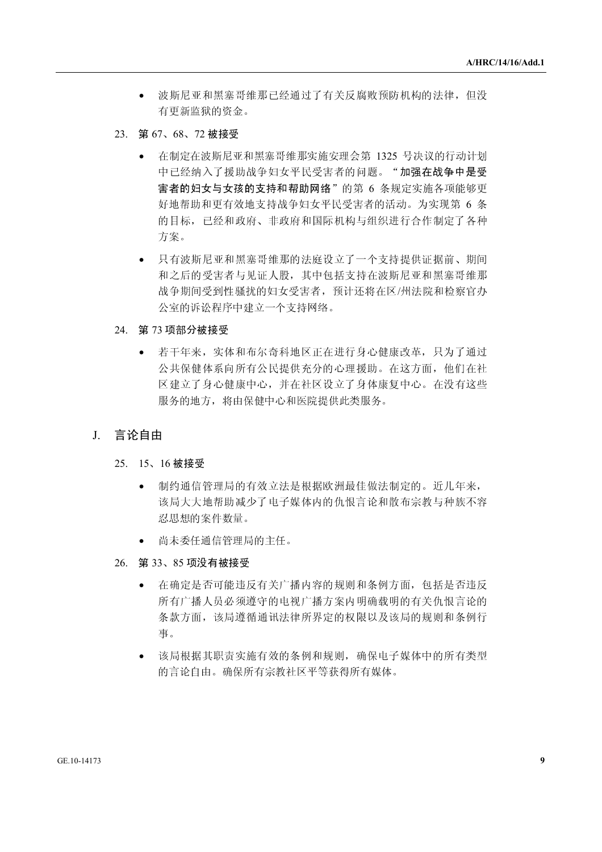- 波斯尼亚和黑塞哥维那已经通过了有关反腐败预防机构的法律,但没 有更新监狱的资金。
- 23. <sup>第</sup> <sup>67</sup>、68、<sup>72</sup> 被接受
	- 在制定在波斯尼亚和黑塞哥维那实施安理会第 1325 号决议的行动计划 中已经纳入了援助战争妇女平民受害者的问题。"加强在战争中是受 害者的妇女与女孩的支持和帮助网络"的第 6 条规定实施各项能够更 好地帮助和更有效地支持战争妇女平民受害者的活动。为实现第 6 条 的目标,已经和政府、非政府和国际机构与组织进行合作制定了各种 方案。
	- 只有波斯尼亚和黑塞哥维那的法庭设立了一个支持提供证据前、期间 和之后的受害者与见证人股,其中包括支持在波斯尼亚和黑塞哥维那 战争期间受到性骚扰的妇女受害者,预计还将在区/州法院和检察官办 公室的诉讼程序中建立一个支持网络。
- 24. <sup>第</sup> <sup>73</sup> 项部分被接受
	- 若干年来,实体和布尔奇科地区正在进行身心健康改革,只为了通过 公共保健体系向所有公民提供充分的心理援助。在这方面,他们在社 区建立了身心健康中心,并在社区设立了身体康复中心。在没有这些 服务的地方,将由保健中心和医院提供此类服务。
- J. 言论自由
	- 25. 15、<sup>16</sup> 被接受
		- 制约通信管理局的有效立法是根据欧洲最佳做法制定的。近几年来, 该局大大地帮助减少了电子媒体内的仇恨言论和散布宗教与种族不容 忍思想的案件数量。
		- 尚未委任通信管理局的主任。
	- 26. <sup>第</sup> <sup>33</sup>、<sup>85</sup> 项没有被接受
		- 在确定是否可能违反有关广播内容的规则和条例方面,包括是否违反 所有广播人员必须遵守的电视广播方案内明确载明的有关仇恨言论的条款方面,该局遵循通讯法律所界定的权限以及该局的规则和条例行事。<br>事。<br>事。<br>该局根据其职责实施有效的条例和规则,确保电子媒体中的所有类型<br>的言论自由。确保所有宗教社区平等获得所有媒体。 事。
		- 条款方面,该局遵循通讯法律所界定的权限以及该局的规则和条例行事。<br>事。<br>该局根据其职责实施有效的条例和规则,确保电子媒体中的所有类型<br>的言论自由。确保所有宗教社区平等获得所有媒体。 • 该局根据其职责实施有效的条例和规则,确保电子媒体中的所有类型的言论自由。确保所有宗教社区平等获得所有媒体。<br>的言论自由。确保所有宗教社区平等获得所有媒体。<br>-的言论自由。确保所有宗教社区平等获得所有媒体。<br><br><br><br>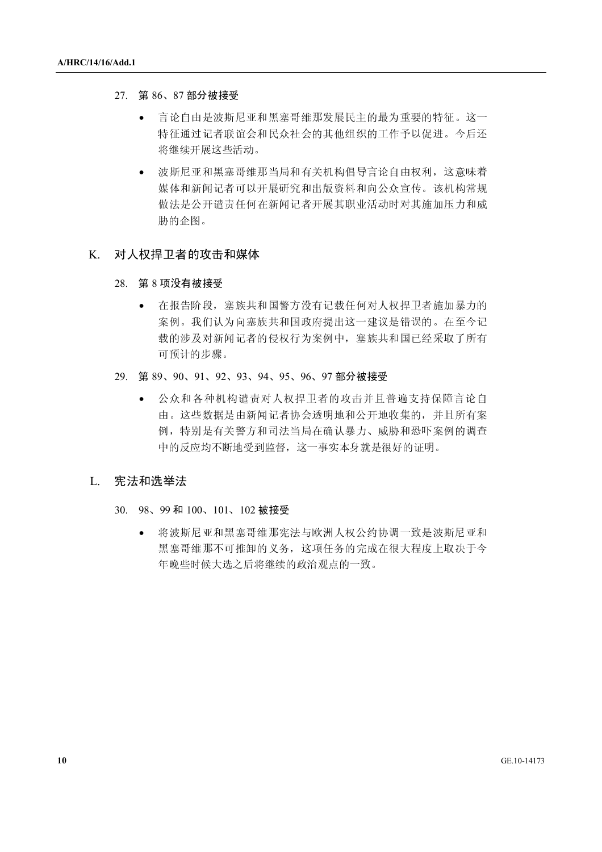- 27. <sup>第</sup> <sup>86</sup>、<sup>87</sup> 部分被接受
	- 将继续开展这些活动。
	- 言论自由是波斯尼亚和黑塞哥维那发展民主的最为重要的特征。这一特征通过记者联谊会和民众社会的其他组织的工作予以促进。今后还将继续开展这些活动。<br><br>- 波斯尼亚和黑塞哥维那当局和有关机构倡导言论自由权利,这意味着<br>媒体和新闻记者可以开展研究和出版资料和向公众宣传。该机构常规<br>做法是公开谴责任何在新闻记者开展其职业活动时对其施加压力和威<br>胁的企图。 特征通过记者联谊会和民众社会的其他组织的工作予以促进。今后还将继续开展这些活动。<br>将继续开展这些活动。<br>波斯尼亚和黑塞哥维那当局和有关机构倡导言论自由权利,这意味着<br>媒体和新闻记者可以开展研究和出版资料和向公众宣传。该机构常规<br>做法是公开谴责任何在新闻记者开展其职业活动时对其施加压力和威<br>胁的企图。 • 波斯尼亚和黑塞哥维那当局和有关机构倡导言论自由权利,这意味着<br>媒体和新闻记者可以开展研究和出版资料和向公众宣传。该机构常规<br>做法是公开谴责任何在新闻记者开展其职业活动时对其施加压力和威<br>胁的企图。<br><br>**权捍卫者的攻击和媒体** 媒体和新闻记者可以开展研究和出版资料和向公众宣传。该机构常规<br>做法是公开谴责任何在新闻记者开展其职业活动时对其施加压力和威<br>胁的企图。<br><br><br>**「现在阶段」**等达共和国警方沿在只费区包括人也担卫老汝也是古的 做法是公开谴责任何在新闻记者开展其职业活动时对其施加压力和威<br>胁的企图。<br><br><br><br><br>在报告阶段,塞族共和国警方没有记载任何对人权捍卫者施加暴力的<br><br><br><br><br><br><br><br><br><br><br><br><br><br><br><br><br><br><br>

### K. 对人权捍卫者的攻击和媒体

#### 28. <sup>第</sup> <sup>8</sup> 项没有被接受

- 胁的企图。 • 在报告阶段,塞族共和国警方没有记载任何对人权捍卫者施加暴力的案例。我们认为向塞族共和国政府提出这一建议是错误的。在至今记载的涉及对新闻记者的侵权行为案例中,塞族共和国已经采取了所有可预计的步骤。<br>可预计的步骤。<br>第89、90、91、92、93、94、95、96、97部**分被接受**<br>● 公众和各种机构谴责对人权捍卫者的攻击并且普遍支持保障言论自由。这些数据是由新闻记者协会透明地和公开地收集的,并且所有案
- 29. <sup>第</sup> <sup>89</sup>、90、91、92、93、94、95、96、<sup>97</sup> 部分被接受
- 案例。我们认为向塞族共和国政府提出这一建议是错误的。在至今记<br>载的涉及对新闻记者的侵权行为案例中,塞族共和国已经采取了所有<br>可预计的步骤。<br>9、90、91、92、93、94、95、96、97部**分被接受**<br>公众和各种机构谴责对人权捍卫者的攻击并且普遍支持保障言论自<br>由。这些数据是由新闻记者协会透明地和公开地收集的,并且所有案<br>倒,特别是有关警方和司法当局在确认暴力、威胁和恐吓案例的调查 载的涉及对新闻记者的侵权行为案例中,塞族共和国已经采取了所有可预计的步骤。<br>可预计的步骤。<br>9、90、91、92、93、94、95、96、97部分被接受<br>公众和各种机构谴责对人权捍卫者的攻击并且普遍支持保障言论自<br>由。这些数据是由新闻记者协会透明地和公开地收集的,并且所有案<br>例,特别是有关警方和司法当局在确认暴力、威胁和恐吓案例的调查<br>中的反应均不断地受到监督,这一事实本身就是很好的证明。 可预计的步骤。<br>9、90、91、92、<br>公众和各种机<sup>林</sup><br>台。这些数据是<br>间,特别是有关<br>例,特别是有关 • 公众和各种机构谴责对人权捍卫者的攻击并且普遍支持保障言论自由。这些数据是由新闻记者协会透明地和公开地收集的,并且所有案例,特别是有关警方和司法当局在确认暴力、威胁和恐吓案例的调查中的反应均不断地受到监督,这一事实本身就是很好的证明。<br>中的反应均不断地受到监督,这一事实本身就是很好的证明。<br>和**选举法**<br>88、99和100、101、102 被接受 由。这些数据是由新闻记者协会透明地和公开地收集的,并且所有案例,特别是有关警方和司法当局在确认暴力、威胁和恐吓案例的调查<br>中的反应均不断地受到监督,这一事实本身就是很好的证明。<br><br><br>**全法**<br>199 和 100、101、102 被接受 例,特别是有关警方和司法当局在确认暴力、威胁和恐吓案例的调查<br>中的反应均不断地受到监督,这一事实本身就是很好的证明。<br><br><br>终波斯尼亚和黑塞哥维那宪法与欧洲人权公约协调一致是波斯尼亚和<br>将波斯尼亚和黑塞哥维那宪法与欧洲人权公约协调一致是波斯尼亚和

### L. 宪法和选举法

### 30. 98、<sup>99</sup> <sup>和</sup> <sup>100</sup>、101、<sup>102</sup> 被接受

中的反应均不断地受到监督,这一事实本身就是很好的证明。<br><br><br><br>**这举法**<br>将波斯尼亚和黑塞哥维那宪法与欧洲人权公约协调一致是波,<br>黑塞哥维那不可推卸的义务,这项任务的完成在很大程度上, • 将波斯尼亚和黑塞哥维那宪法与欧洲人权公约协调一致是波斯尼亚和 黑塞哥维那不可推卸的义务,这项任务的完成在很大程度上取决于今 年晚些时候大选之后将继续的政治观点的一致。<br><br><br><br>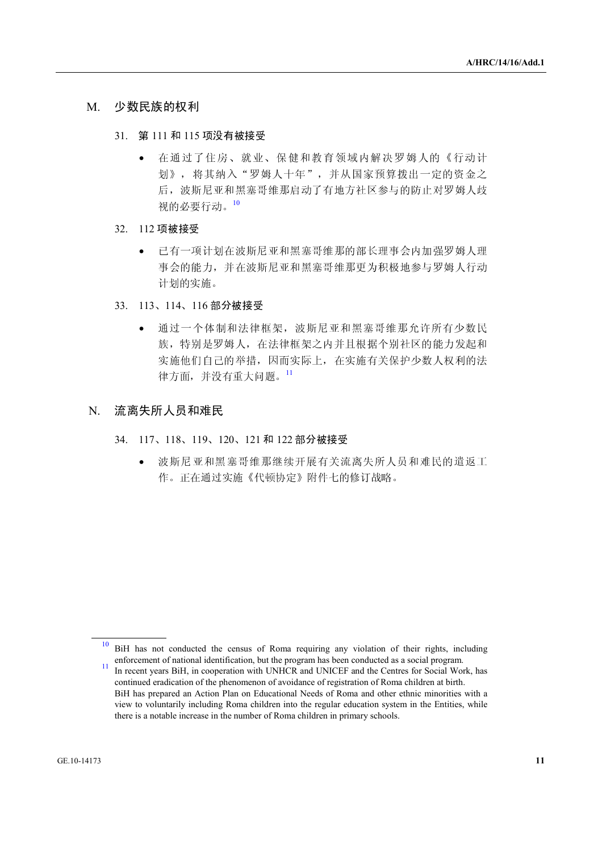### M. 少数民族的权利

- 31. <sup>第</sup> <sup>111</sup> <sup>和</sup> <sup>115</sup> 项没有被接受
	- 在通过了住房、就业、保健和教育领域内解决罗姆人的《行动计划》,将其纳入"罗姆人十年",并从国家预算拨出一定的资金之后,波斯尼亚和黑塞哥维那启动了有地方社区参与的防止对罗姆人歧视的必要行动。<sup>10</sup><br>想的必要行动。<sup>10</sup><br>112 **项被接受**<br>• 已有一项计划在波斯尼亚和黑塞哥维那的部长理事会内加强罗姆人理事会的能力,并在波斯尼亚和黑塞哥维那的部长理事会内加强罗姆人行动 视的必要行动。<sup>10</sup>
- 32. 112 项被接受
- 划》,将其纳入"罗姆人十年",并从国家预算拨出一定的资金之后,波斯尼亚和黑塞哥维那启动了有地方社区参与的防止对罗姆人歧视的必要行动。<sup>10</sup><br>视的必要行动。<sup>10</sup><br>项被接受<br>已有一项计划在波斯尼亚和黑塞哥维那的部长理事会内加强罗姆人理事会的能力,并在波斯尼亚和黑塞哥维那更为积极地参与罗姆人行动 后,波斯尼亚和黑塞哥维那启动了有地方社区参与的防止对罗姆人歧视的必要行动。<sup>10</sup><br>视的必要行动。<sup>10</sup><br><br><br>百有一项计划在波斯尼亚和黑塞哥维那的部长理事会内加强罗姆人理事会的能力,并在波斯尼亚和黑塞哥维那的部长理事会内加强罗姆人行动<br>计划的实施。<br>计划的实施。 计划的实施。
- 33. 113、114、<sup>116</sup> 部分被接受
- 已有一项计划在波斯尼亚和黑塞哥维那的部长理事会内加强罗姆人行动事会的能力,并在波斯尼亚和黑塞哥维那更为积极地参与罗姆人行动计划的实施。<br>计划的实施。<br>113、114、116部分被接受<br>• 通过一个体制和法律框架,波斯尼亚和黑塞哥维那允许所有少数民族,特别是罗姆人,在法律框架之内并且根据个别社区的能力发起和实施他们自己的举措,因而实际上,在实施有关保护少数人权利的法 事会的能力,并在波斯尼亚和黑塞哥维那更为积极地参与罗姆人行动<br>计划的实施。<br>114、116部分被接受<br>通过一个体制和法律框架,波斯尼亚和黑塞哥维那允许所有少数民<br>族,特别是罗姆人,在法律框架之内并且根据个别社区的能力发起和<br>实施他们自己的举措,因而实际上,在实施有关保护少数人权利的法<br>牢方面,并没有重大问题。" • 通过一个体制和法律框架,波斯尼亚和黑塞哥维那允许所有少数民族,特别是罗姆人,在法律框架之内并且根据个别社区的能力发起和实施他们自己的举措,因而实际上,在实施有关保护少数人权利的法律方面,并没有重大问题。<br><br>律方面,并没有重大问题。<br>**失所人员和难民**<br>大所人员和难民 族,特别是罗姆人,在法律框架之内并且根据个别社区的能力发起和<br>实施他们自己的举措,因而实际上,在实施有关保护少数人权利的法<br>律方面,并没有重大问题。<sup>11</sup><br>5人员和难民<br>118、119、120、121和122部分被接受 实施他们自己的举措,因而实际上,在实施有关保护少数人权利的法

### N. 流离失所人员和难民

- 34. 117、118、119、120、<sup>121</sup> <sup>和</sup> <sup>122</sup> 部分被接受
- 律方面,并没有重大问题。<sup>11</sup><br>F**人员和难民**<br>118、119、120、121 和 122<br>波斯尼亚和黑塞哥维那继续<br>作。正在通过实施《代顿协定 • 波斯尼亚和黑塞哥维那继续开展有关流离失所人员和难民的遣返工作。正在通过实施《代顿协定》附件七的修订战略。<br>作。正在通过实施《代顿协定》附件七的修订战略。<br> 作。正在通过实施《代顿协定》附件七的修订战略。<br><br><br><br>

<sup>10</sup> BiH has not conducted the census of Roma requiring any violation of their rights, including enforcement of national identification, but the program has been conducted as a social program.<br><sup>11</sup> In recent years BiH, in cooperation with UNHCR and UNICEF and the Centres for Social Work, has

continued eradication of the phenomenon of avoidance of registration of Roma children at birth. BiH has prepared an Action Plan on Educational Needs of Roma and other ethnic minorities with a view to voluntarily including Roma children into the regular education system in the Entities, while there is a notable increase in the number of Roma children in primary schools.